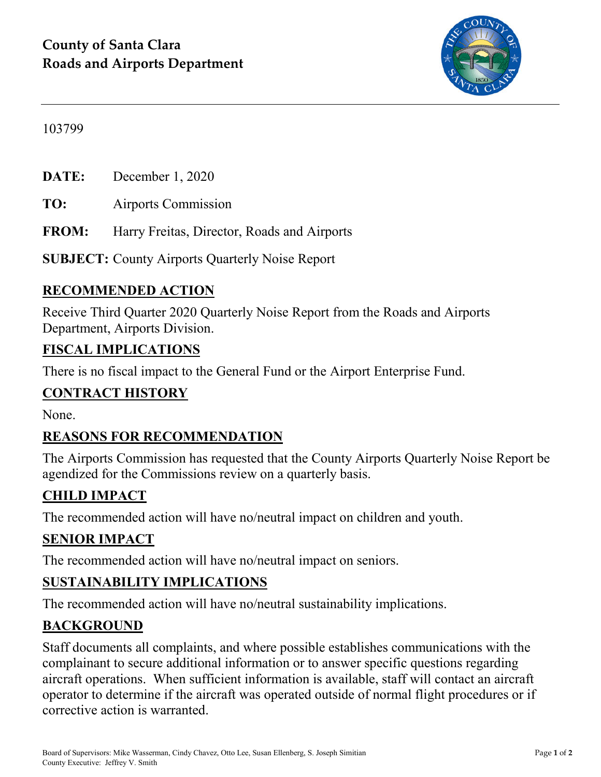

#### 103799

**DATE:** December 1, 2020

**TO:** Airports Commission

**FROM:** Harry Freitas, Director, Roads and Airports

**SUBJECT:** County Airports Quarterly Noise Report

### **RECOMMENDED ACTION**

Receive Third Quarter 2020 Quarterly Noise Report from the Roads and Airports Department, Airports Division.

#### **FISCAL IMPLICATIONS**

There is no fiscal impact to the General Fund or the Airport Enterprise Fund.

### **CONTRACT HISTORY**

None.

### **REASONS FOR RECOMMENDATION**

The Airports Commission has requested that the County Airports Quarterly Noise Report be agendized for the Commissions review on a quarterly basis.

### **CHILD IMPACT**

The recommended action will have no/neutral impact on children and youth.

#### **SENIOR IMPACT**

The recommended action will have no/neutral impact on seniors.

### **SUSTAINABILITY IMPLICATIONS**

The recommended action will have no/neutral sustainability implications.

#### **BACKGROUND**

Staff documents all complaints, and where possible establishes communications with the complainant to secure additional information or to answer specific questions regarding aircraft operations. When sufficient information is available, staff will contact an aircraft operator to determine if the aircraft was operated outside of normal flight procedures or if corrective action is warranted.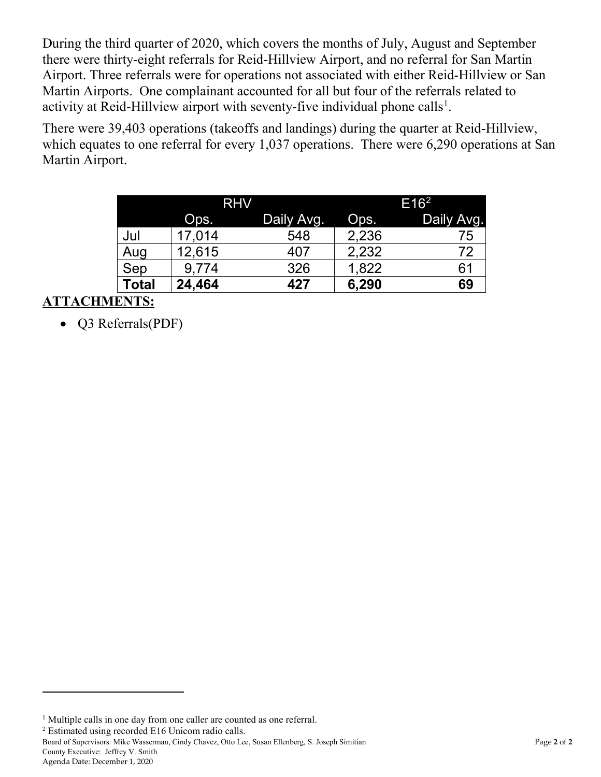During the third quarter of 2020, which covers the months of July, August and September there were thirty-eight referrals for Reid-Hillview Airport, and no referral for San Martin Airport. Three referrals were for operations not associated with either Reid-Hillview or San Martin Airports. One complainant accounted for all but four of the referrals related to activity at Reid-Hillview airport with seventy-five individual phone calls<sup>[1](#page-1-0)</sup>.

There were 39,403 operations (takeoffs and landings) during the quarter at Reid-Hillview, which equates to one referral for every 1,037 operations. There were 6,290 operations at San Martin Airport.

|              | <b>RHV</b> |            | E16 <sup>2</sup> |            |
|--------------|------------|------------|------------------|------------|
|              | Ops.       | Daily Avg. | Ops.             | Daily Avg. |
| Jul          | 17,014     | 548        | 2,236            | 75         |
| Aug          | 12,615     | 407        | 2,232            | 72         |
| Sep          | 9,774      | 326        | 1,822            | 61         |
| <b>Total</b> | 24,464     | 427        | 6,290            | 69         |

## **ATTACHMENTS:**

• Q3 Referrals(PDF)

<span id="page-1-1"></span><sup>2</sup> Estimated using recorded E16 Unicom radio calls.

Board of Supervisors: Mike Wasserman, Cindy Chavez, Otto Lee, Susan Ellenberg, S. Joseph Simitian Page **2** of **2** County Executive: Jeffrey V. Smith

 $\overline{a}$ 

<span id="page-1-0"></span><sup>&</sup>lt;sup>1</sup> Multiple calls in one day from one caller are counted as one referral.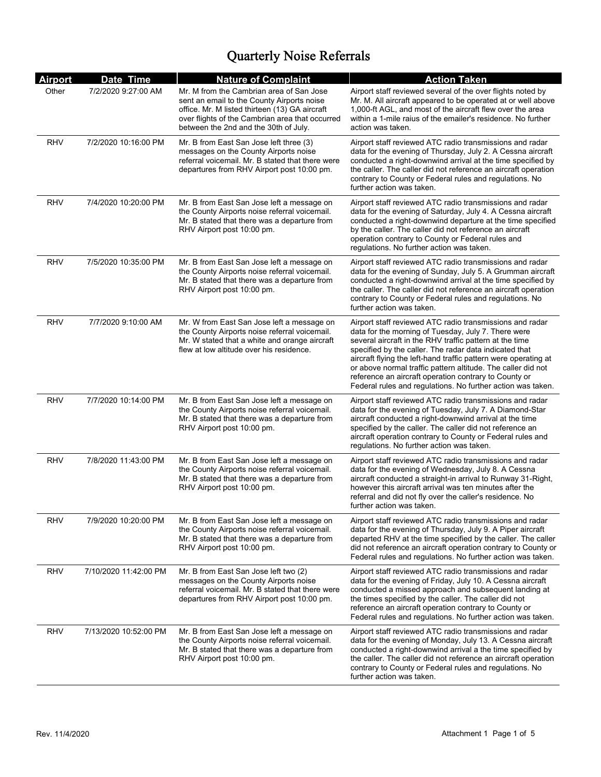| <b>Airport</b> | Date Time             | <b>Nature of Complaint</b>                                                                                                                                                                                                           | <b>Action Taken</b>                                                                                                                                                                                                                                                                                                                                                                                                                                                                             |
|----------------|-----------------------|--------------------------------------------------------------------------------------------------------------------------------------------------------------------------------------------------------------------------------------|-------------------------------------------------------------------------------------------------------------------------------------------------------------------------------------------------------------------------------------------------------------------------------------------------------------------------------------------------------------------------------------------------------------------------------------------------------------------------------------------------|
| Other          | 7/2/2020 9:27:00 AM   | Mr. M from the Cambrian area of San Jose<br>sent an email to the County Airports noise<br>office. Mr. M listed thirteen (13) GA aircraft<br>over flights of the Cambrian area that occurred<br>between the 2nd and the 30th of July. | Airport staff reviewed several of the over flights noted by<br>Mr. M. All aircraft appeared to be operated at or well above<br>1.000-ft AGL, and most of the aircraft flew over the area<br>within a 1-mile raius of the emailer's residence. No further<br>action was taken.                                                                                                                                                                                                                   |
| <b>RHV</b>     | 7/2/2020 10:16:00 PM  | Mr. B from East San Jose left three (3)<br>messages on the County Airports noise<br>referral voicemail. Mr. B stated that there were<br>departures from RHV Airport post 10:00 pm.                                                   | Airport staff reviewed ATC radio transmissions and radar<br>data for the evening of Thursday, July 2. A Cessna aircraft<br>conducted a right-downwind arrival at the time specified by<br>the caller. The caller did not reference an aircraft operation<br>contrary to County or Federal rules and regulations. No<br>further action was taken.                                                                                                                                                |
| <b>RHV</b>     | 7/4/2020 10:20:00 PM  | Mr. B from East San Jose left a message on<br>the County Airports noise referral voicemail.<br>Mr. B stated that there was a departure from<br>RHV Airport post 10:00 pm.                                                            | Airport staff reviewed ATC radio transmissions and radar<br>data for the evening of Saturday, July 4. A Cessna aircraft<br>conducted a right-downwind departure at the time specified<br>by the caller. The caller did not reference an aircraft<br>operation contrary to County or Federal rules and<br>regulations. No further action was taken.                                                                                                                                              |
| <b>RHV</b>     | 7/5/2020 10:35:00 PM  | Mr. B from East San Jose left a message on<br>the County Airports noise referral voicemail.<br>Mr. B stated that there was a departure from<br>RHV Airport post 10:00 pm.                                                            | Airport staff reviewed ATC radio transmissions and radar<br>data for the evening of Sunday, July 5. A Grumman aircraft<br>conducted a right-downwind arrival at the time specified by<br>the caller. The caller did not reference an aircraft operation<br>contrary to County or Federal rules and regulations. No<br>further action was taken.                                                                                                                                                 |
| <b>RHV</b>     | 7/7/2020 9:10:00 AM   | Mr. W from East San Jose left a message on<br>the County Airports noise referral voicemail.<br>Mr. W stated that a white and orange aircraft<br>flew at low altitude over his residence.                                             | Airport staff reviewed ATC radio transmissions and radar<br>data for the morning of Tuesday, July 7. There were<br>several aircraft in the RHV traffic pattern at the time<br>specified by the caller. The radar data indicated that<br>aircraft flying the left-hand traffic pattern were operating at<br>or above normal traffic pattern altitude. The caller did not<br>reference an aircraft operation contrary to County or<br>Federal rules and regulations. No further action was taken. |
| <b>RHV</b>     | 7/7/2020 10:14:00 PM  | Mr. B from East San Jose left a message on<br>the County Airports noise referral voicemail.<br>Mr. B stated that there was a departure from<br>RHV Airport post 10:00 pm.                                                            | Airport staff reviewed ATC radio transmissions and radar<br>data for the evening of Tuesday, July 7. A Diamond-Star<br>aircraft conducted a right-downwind arrival at the time<br>specified by the caller. The caller did not reference an<br>aircraft operation contrary to County or Federal rules and<br>regulations. No further action was taken.                                                                                                                                           |
| <b>RHV</b>     | 7/8/2020 11:43:00 PM  | Mr. B from East San Jose left a message on<br>the County Airports noise referral voicemail.<br>Mr. B stated that there was a departure from<br>RHV Airport post 10:00 pm.                                                            | Airport staff reviewed ATC radio transmissions and radar<br>data for the evening of Wednesday, July 8. A Cessna<br>aircraft conducted a straight-in arrival to Runway 31-Right,<br>however this aircraft arrival was ten minutes after the<br>referral and did not fly over the caller's residence. No<br>further action was taken.                                                                                                                                                             |
| <b>RHV</b>     | 7/9/2020 10:20:00 PM  | Mr. B from East San Jose left a message on<br>the County Airports noise referral voicemail.<br>Mr. B stated that there was a departure from<br>RHV Airport post 10:00 pm.                                                            | Airport staff reviewed ATC radio transmissions and radar<br>data for the evening of Thursday, July 9. A Piper aircraft<br>departed RHV at the time specified by the caller. The caller<br>did not reference an aircraft operation contrary to County or<br>Federal rules and regulations. No further action was taken.                                                                                                                                                                          |
| RHV            | 7/10/2020 11:42:00 PM | Mr. B from East San Jose left two (2)<br>messages on the County Airports noise<br>referral voicemail. Mr. B stated that there were<br>departures from RHV Airport post 10:00 pm.                                                     | Airport staff reviewed ATC radio transmissions and radar<br>data for the evening of Friday, July 10. A Cessna aircraft<br>conducted a missed approach and subsequent landing at<br>the times specified by the caller. The caller did not<br>reference an aircraft operation contrary to County or<br>Federal rules and regulations. No further action was taken.                                                                                                                                |
| <b>RHV</b>     | 7/13/2020 10:52:00 PM | Mr. B from East San Jose left a message on<br>the County Airports noise referral voicemail.<br>Mr. B stated that there was a departure from<br>RHV Airport post 10:00 pm.                                                            | Airport staff reviewed ATC radio transmissions and radar<br>data for the evening of Monday, July 13. A Cessna aircraft<br>conducted a right-downwind arrival a the time specified by<br>the caller. The caller did not reference an aircraft operation<br>contrary to County or Federal rules and regulations. No<br>further action was taken.                                                                                                                                                  |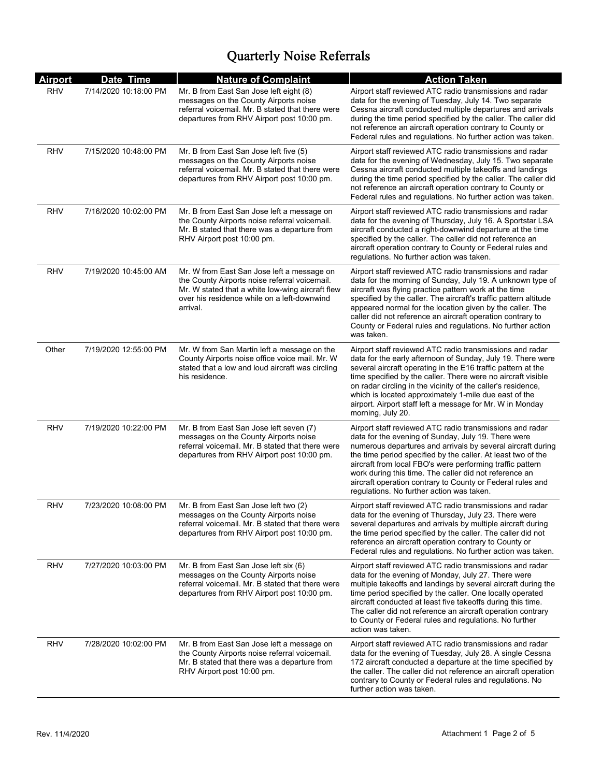| <b>Airport</b> | Date Time             | <b>Nature of Complaint</b>                                                                                                                                                                                 | <b>Action Taken</b>                                                                                                                                                                                                                                                                                                                                                                                                                                                              |
|----------------|-----------------------|------------------------------------------------------------------------------------------------------------------------------------------------------------------------------------------------------------|----------------------------------------------------------------------------------------------------------------------------------------------------------------------------------------------------------------------------------------------------------------------------------------------------------------------------------------------------------------------------------------------------------------------------------------------------------------------------------|
| <b>RHV</b>     | 7/14/2020 10:18:00 PM | Mr. B from East San Jose left eight (8)<br>messages on the County Airports noise<br>referral voicemail. Mr. B stated that there were<br>departures from RHV Airport post 10:00 pm.                         | Airport staff reviewed ATC radio transmissions and radar<br>data for the evening of Tuesday, July 14. Two separate<br>Cessna aircraft conducted multiple departures and arrivals<br>during the time period specified by the caller. The caller did<br>not reference an aircraft operation contrary to County or<br>Federal rules and regulations. No further action was taken.                                                                                                   |
| RHV            | 7/15/2020 10:48:00 PM | Mr. B from East San Jose left five (5)<br>messages on the County Airports noise<br>referral voicemail. Mr. B stated that there were<br>departures from RHV Airport post 10:00 pm.                          | Airport staff reviewed ATC radio transmissions and radar<br>data for the evening of Wednesday, July 15. Two separate<br>Cessna aircraft conducted multiple takeoffs and landings<br>during the time period specified by the caller. The caller did<br>not reference an aircraft operation contrary to County or<br>Federal rules and regulations. No further action was taken.                                                                                                   |
| RHV            | 7/16/2020 10:02:00 PM | Mr. B from East San Jose left a message on<br>the County Airports noise referral voicemail.<br>Mr. B stated that there was a departure from<br>RHV Airport post 10:00 pm.                                  | Airport staff reviewed ATC radio transmissions and radar<br>data for the evening of Thursday, July 16. A Sportstar LSA<br>aircraft conducted a right-downwind departure at the time<br>specified by the caller. The caller did not reference an<br>aircraft operation contrary to County or Federal rules and<br>regulations. No further action was taken.                                                                                                                       |
| RHV            | 7/19/2020 10:45:00 AM | Mr. W from East San Jose left a message on<br>the County Airports noise referral voicemail.<br>Mr. W stated that a white low-wing aircraft flew<br>over his residence while on a left-downwind<br>arrival. | Airport staff reviewed ATC radio transmissions and radar<br>data for the morning of Sunday, July 19. A unknown type of<br>aircraft was flying practice pattern work at the time<br>specified by the caller. The aircraft's traffic pattern altitude<br>appeared normal for the location given by the caller. The<br>caller did not reference an aircraft operation contrary to<br>County or Federal rules and regulations. No further action<br>was taken.                       |
| Other          | 7/19/2020 12:55:00 PM | Mr. W from San Martin left a message on the<br>County Airports noise office voice mail. Mr. W<br>stated that a low and loud aircraft was circling<br>his residence.                                        | Airport staff reviewed ATC radio transmissions and radar<br>data for the early afternoon of Sunday, July 19. There were<br>several aircraft operating in the E16 traffic pattern at the<br>time specified by the caller. There were no aircraft visible<br>on radar circling in the vicinity of the caller's residence,<br>which is located approximately 1-mile due east of the<br>airport. Airport staff left a message for Mr. W in Monday<br>morning, July 20.               |
| RHV            | 7/19/2020 10:22:00 PM | Mr. B from East San Jose left seven (7)<br>messages on the County Airports noise<br>referral voicemail. Mr. B stated that there were<br>departures from RHV Airport post 10:00 pm.                         | Airport staff reviewed ATC radio transmissions and radar<br>data for the evening of Sunday, July 19. There were<br>numerous departures and arrivals by several aircraft during<br>the time period specified by the caller. At least two of the<br>aircraft from local FBO's were performing traffic pattern<br>work during this time. The caller did not reference an<br>aircraft operation contrary to County or Federal rules and<br>regulations. No further action was taken. |
| RHV            | 7/23/2020 10:08:00 PM | Mr. B from East San Jose left two (2)<br>messages on the County Airports noise<br>referral voicemail. Mr. B stated that there were<br>departures from RHV Airport post 10:00 pm.                           | Airport staff reviewed ATC radio transmissions and radar<br>data for the evening of Thursday, July 23. There were<br>several departures and arrivals by multiple aircraft during<br>the time period specified by the caller. The caller did not<br>reference an aircraft operation contrary to County or<br>Federal rules and regulations. No further action was taken.                                                                                                          |
| RHV            | 7/27/2020 10:03:00 PM | Mr. B from East San Jose left six (6)<br>messages on the County Airports noise<br>referral voicemail. Mr. B stated that there were<br>departures from RHV Airport post 10:00 pm.                           | Airport staff reviewed ATC radio transmissions and radar<br>data for the evening of Monday, July 27. There were<br>multiple takeoffs and landings by several aircraft during the<br>time period specified by the caller. One locally operated<br>aircraft conducted at least five takeoffs during this time.<br>The caller did not reference an aircraft operation contrary<br>to County or Federal rules and regulations. No further<br>action was taken.                       |
| RHV            | 7/28/2020 10:02:00 PM | Mr. B from East San Jose left a message on<br>the County Airports noise referral voicemail.<br>Mr. B stated that there was a departure from<br>RHV Airport post 10:00 pm.                                  | Airport staff reviewed ATC radio transmissions and radar<br>data for the evening of Tuesday, July 28. A single Cessna<br>172 aircraft conducted a departure at the time specified by<br>the caller. The caller did not reference an aircraft operation<br>contrary to County or Federal rules and regulations. No<br>further action was taken.                                                                                                                                   |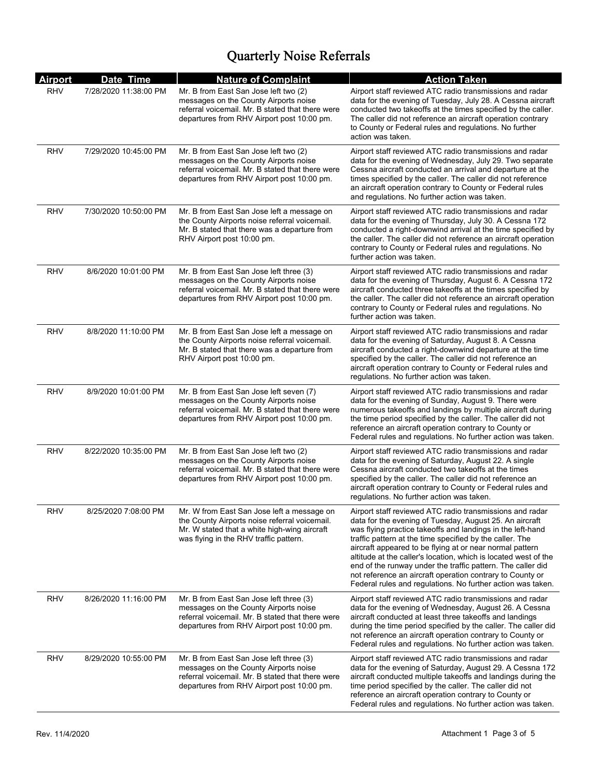| <b>Airport</b> | Date Time             | <b>Nature of Complaint</b>                                                                                                                                                            | <b>Action Taken</b>                                                                                                                                                                                                                                                                                                                                                                                                                                                                                                                                                     |
|----------------|-----------------------|---------------------------------------------------------------------------------------------------------------------------------------------------------------------------------------|-------------------------------------------------------------------------------------------------------------------------------------------------------------------------------------------------------------------------------------------------------------------------------------------------------------------------------------------------------------------------------------------------------------------------------------------------------------------------------------------------------------------------------------------------------------------------|
| <b>RHV</b>     | 7/28/2020 11:38:00 PM | Mr. B from East San Jose left two (2)<br>messages on the County Airports noise<br>referral voicemail. Mr. B stated that there were<br>departures from RHV Airport post 10:00 pm.      | Airport staff reviewed ATC radio transmissions and radar<br>data for the evening of Tuesday, July 28. A Cessna aircraft<br>conducted two takeoffs at the times specified by the caller.<br>The caller did not reference an aircraft operation contrary<br>to County or Federal rules and regulations. No further<br>action was taken.                                                                                                                                                                                                                                   |
| RHV            | 7/29/2020 10:45:00 PM | Mr. B from East San Jose left two (2)<br>messages on the County Airports noise<br>referral voicemail. Mr. B stated that there were<br>departures from RHV Airport post 10:00 pm.      | Airport staff reviewed ATC radio transmissions and radar<br>data for the evening of Wednesday, July 29. Two separate<br>Cessna aircraft conducted an arrival and departure at the<br>times specified by the caller. The caller did not reference<br>an aircraft operation contrary to County or Federal rules<br>and regulations. No further action was taken.                                                                                                                                                                                                          |
| RHV            | 7/30/2020 10:50:00 PM | Mr. B from East San Jose left a message on<br>the County Airports noise referral voicemail.<br>Mr. B stated that there was a departure from<br>RHV Airport post 10:00 pm.             | Airport staff reviewed ATC radio transmissions and radar<br>data for the evening of Thursday, July 30. A Cessna 172<br>conducted a right-downwind arrival at the time specified by<br>the caller. The caller did not reference an aircraft operation<br>contrary to County or Federal rules and regulations. No<br>further action was taken.                                                                                                                                                                                                                            |
| <b>RHV</b>     | 8/6/2020 10:01:00 PM  | Mr. B from East San Jose left three (3)<br>messages on the County Airports noise<br>referral voicemail. Mr. B stated that there were<br>departures from RHV Airport post 10:00 pm.    | Airport staff reviewed ATC radio transmissions and radar<br>data for the evening of Thursday, August 6. A Cessna 172<br>aircraft conducted three takeoffs at the times specified by<br>the caller. The caller did not reference an aircraft operation<br>contrary to County or Federal rules and regulations. No<br>further action was taken.                                                                                                                                                                                                                           |
| RHV            | 8/8/2020 11:10:00 PM  | Mr. B from East San Jose left a message on<br>the County Airports noise referral voicemail.<br>Mr. B stated that there was a departure from<br>RHV Airport post 10:00 pm.             | Airport staff reviewed ATC radio transmissions and radar<br>data for the evening of Saturday, August 8. A Cessna<br>aircraft conducted a right-downwind departure at the time<br>specified by the caller. The caller did not reference an<br>aircraft operation contrary to County or Federal rules and<br>regulations. No further action was taken.                                                                                                                                                                                                                    |
| <b>RHV</b>     | 8/9/2020 10:01:00 PM  | Mr. B from East San Jose left seven (7)<br>messages on the County Airports noise<br>referral voicemail. Mr. B stated that there were<br>departures from RHV Airport post 10:00 pm.    | Airport staff reviewed ATC radio transmissions and radar<br>data for the evening of Sunday, August 9. There were<br>numerous takeoffs and landings by multiple aircraft during<br>the time period specified by the caller. The caller did not<br>reference an aircraft operation contrary to County or<br>Federal rules and regulations. No further action was taken.                                                                                                                                                                                                   |
| <b>RHV</b>     | 8/22/2020 10:35:00 PM | Mr. B from East San Jose left two (2)<br>messages on the County Airports noise<br>referral voicemail. Mr. B stated that there were<br>departures from RHV Airport post 10:00 pm.      | Airport staff reviewed ATC radio transmissions and radar<br>data for the evening of Saturday, August 22. A single<br>Cessna aircraft conducted two takeoffs at the times<br>specified by the caller. The caller did not reference an<br>aircraft operation contrary to County or Federal rules and<br>regulations. No further action was taken.                                                                                                                                                                                                                         |
| <b>RHV</b>     | 8/25/2020 7:08:00 PM  | Mr. W from East San Jose left a message on<br>the County Airports noise referral voicemail.<br>Mr. W stated that a white high-wing aircraft<br>was flying in the RHV traffic pattern. | Airport staff reviewed ATC radio transmissions and radar<br>data for the evening of Tuesday, August 25. An aircraft<br>was flying practice takeoffs and landings in the left-hand<br>traffic pattern at the time specified by the caller. The<br>aircraft appeared to be flying at or near normal pattern<br>altitude at the caller's location, which is located west of the<br>end of the runway under the traffic pattern. The caller did<br>not reference an aircraft operation contrary to County or<br>Federal rules and regulations. No further action was taken. |
| RHV            | 8/26/2020 11:16:00 PM | Mr. B from East San Jose left three (3)<br>messages on the County Airports noise<br>referral voicemail. Mr. B stated that there were<br>departures from RHV Airport post 10:00 pm.    | Airport staff reviewed ATC radio transmissions and radar<br>data for the evening of Wednesday, August 26. A Cessna<br>aircraft conducted at least three takeoffs and landings<br>during the time period specified by the caller. The caller did<br>not reference an aircraft operation contrary to County or<br>Federal rules and regulations. No further action was taken.                                                                                                                                                                                             |
| RHV            | 8/29/2020 10:55:00 PM | Mr. B from East San Jose left three (3)<br>messages on the County Airports noise<br>referral voicemail. Mr. B stated that there were<br>departures from RHV Airport post 10:00 pm.    | Airport staff reviewed ATC radio transmissions and radar<br>data for the evening of Saturday, August 29. A Cessna 172<br>aircraft conducted multiple takeoffs and landings during the<br>time period specified by the caller. The caller did not<br>reference an aircraft operation contrary to County or<br>Federal rules and regulations. No further action was taken.                                                                                                                                                                                                |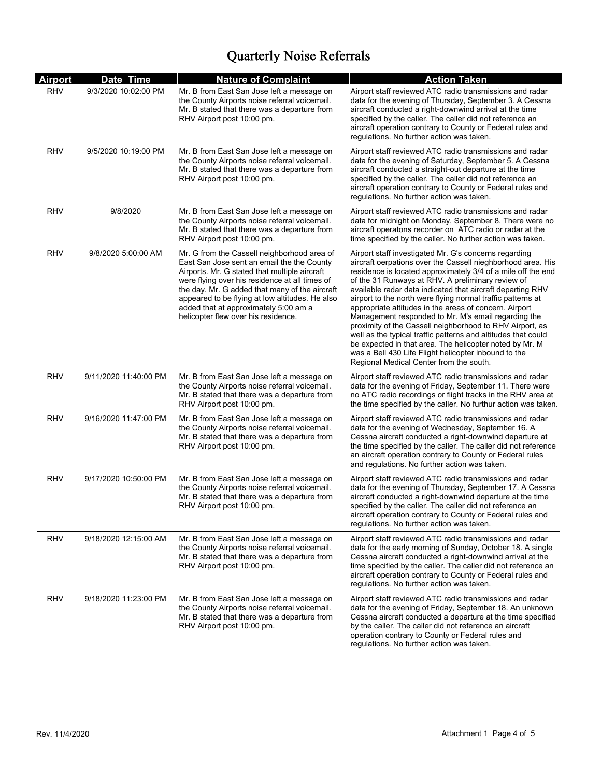| <b>Airport</b> | Date Time             | <b>Nature of Complaint</b>                                                                                                                                                                                                                                                                                                                                                        | <b>Action Taken</b>                                                                                                                                                                                                                                                                                                                                                                                                                                                                                                                                                                                                                                                                                                                                                                |
|----------------|-----------------------|-----------------------------------------------------------------------------------------------------------------------------------------------------------------------------------------------------------------------------------------------------------------------------------------------------------------------------------------------------------------------------------|------------------------------------------------------------------------------------------------------------------------------------------------------------------------------------------------------------------------------------------------------------------------------------------------------------------------------------------------------------------------------------------------------------------------------------------------------------------------------------------------------------------------------------------------------------------------------------------------------------------------------------------------------------------------------------------------------------------------------------------------------------------------------------|
| <b>RHV</b>     | 9/3/2020 10:02:00 PM  | Mr. B from East San Jose left a message on<br>the County Airports noise referral voicemail.<br>Mr. B stated that there was a departure from<br>RHV Airport post 10:00 pm.                                                                                                                                                                                                         | Airport staff reviewed ATC radio transmissions and radar<br>data for the evening of Thursday, September 3. A Cessna<br>aircraft conducted a right-downwind arrival at the time<br>specified by the caller. The caller did not reference an<br>aircraft operation contrary to County or Federal rules and<br>regulations. No further action was taken.                                                                                                                                                                                                                                                                                                                                                                                                                              |
| RHV            | 9/5/2020 10:19:00 PM  | Mr. B from East San Jose left a message on<br>the County Airports noise referral voicemail.<br>Mr. B stated that there was a departure from<br>RHV Airport post 10:00 pm.                                                                                                                                                                                                         | Airport staff reviewed ATC radio transmissions and radar<br>data for the evening of Saturday, September 5. A Cessna<br>aircraft conducted a straight-out departure at the time<br>specified by the caller. The caller did not reference an<br>aircraft operation contrary to County or Federal rules and<br>regulations. No further action was taken.                                                                                                                                                                                                                                                                                                                                                                                                                              |
| <b>RHV</b>     | 9/8/2020              | Mr. B from East San Jose left a message on<br>the County Airports noise referral voicemail.<br>Mr. B stated that there was a departure from<br>RHV Airport post 10:00 pm.                                                                                                                                                                                                         | Airport staff reviewed ATC radio transmissions and radar<br>data for midnight on Monday, September 8. There were no<br>aircraft operatons recorder on ATC radio or radar at the<br>time specified by the caller. No further action was taken.                                                                                                                                                                                                                                                                                                                                                                                                                                                                                                                                      |
| <b>RHV</b>     | 9/8/2020 5:00:00 AM   | Mr. G from the Cassell neighborhood area of<br>East San Jose sent an email the the County<br>Airports. Mr. G stated that multiple aircraft<br>were flying over his residence at all times of<br>the day. Mr. G added that many of the aircraft<br>appeared to be flying at low altitudes. He also<br>added that at approximately 5:00 am a<br>helicopter flew over his residence. | Airport staff investigated Mr. G's concerns regarding<br>aircraft oerpations over the Cassell nieghborhood area. His<br>residence is located approximately 3/4 of a mile off the end<br>of the 31 Runways at RHV. A preliminary review of<br>available radar data indicated that aircraft departing RHV<br>airport to the north were flying normal traffic patterns at<br>appropriate altitudes in the areas of concern. Airport<br>Management responded to Mr. M's email regarding the<br>proximity of the Cassell neighborhood to RHV Airport, as<br>well as the typical traffic patterns and altitudes that could<br>be expected in that area. The helicopter noted by Mr. M<br>was a Bell 430 Life Flight helicopter inbound to the<br>Regional Medical Center from the south. |
| <b>RHV</b>     | 9/11/2020 11:40:00 PM | Mr. B from East San Jose left a message on<br>the County Airports noise referral voicemail.<br>Mr. B stated that there was a departure from<br>RHV Airport post 10:00 pm.                                                                                                                                                                                                         | Airport staff reviewed ATC radio transmissions and radar<br>data for the evening of Friday, September 11. There were<br>no ATC radio recordings or flight tracks in the RHV area at<br>the time specified by the caller. No furthur action was taken.                                                                                                                                                                                                                                                                                                                                                                                                                                                                                                                              |
| <b>RHV</b>     | 9/16/2020 11:47:00 PM | Mr. B from East San Jose left a message on<br>the County Airports noise referral voicemail.<br>Mr. B stated that there was a departure from<br>RHV Airport post 10:00 pm.                                                                                                                                                                                                         | Airport staff reviewed ATC radio transmissions and radar<br>data for the evening of Wednesday, September 16. A<br>Cessna aircraft conducted a right-downwind departure at<br>the time specified by the caller. The caller did not reference<br>an aircraft operation contrary to County or Federal rules<br>and regulations. No further action was taken.                                                                                                                                                                                                                                                                                                                                                                                                                          |
| RHV            | 9/17/2020 10:50:00 PM | Mr. B from East San Jose left a message on<br>the County Airports noise referral voicemail.<br>Mr. B stated that there was a departure from<br>RHV Airport post 10:00 pm.                                                                                                                                                                                                         | Airport staff reviewed ATC radio transmissions and radar<br>data for the evening of Thursday, September 17. A Cessna<br>aircraft conducted a right-downwind departure at the time<br>specified by the caller. The caller did not reference an<br>aircraft operation contrary to County or Federal rules and<br>regulations. No further action was taken.                                                                                                                                                                                                                                                                                                                                                                                                                           |
| <b>RHV</b>     | 9/18/2020 12:15:00 AM | Mr. B from East San Jose left a message on<br>the County Airports noise referral voicemail.<br>Mr. B stated that there was a departure from<br>RHV Airport post 10:00 pm.                                                                                                                                                                                                         | Airport staff reviewed ATC radio transmissions and radar<br>data for the early morning of Sunday, October 18. A single<br>Cessna aircraft conducted a right-downwind arrival at the<br>time specified by the caller. The caller did not reference an<br>aircraft operation contrary to County or Federal rules and<br>regulations. No further action was taken.                                                                                                                                                                                                                                                                                                                                                                                                                    |
| RHV            | 9/18/2020 11:23:00 PM | Mr. B from East San Jose left a message on<br>the County Airports noise referral voicemail.<br>Mr. B stated that there was a departure from<br>RHV Airport post 10:00 pm.                                                                                                                                                                                                         | Airport staff reviewed ATC radio transmissions and radar<br>data for the evening of Friday, September 18. An unknown<br>Cessna aircraft conducted a departure at the time specified<br>by the caller. The caller did not reference an aircraft<br>operation contrary to County or Federal rules and<br>regulations. No further action was taken.                                                                                                                                                                                                                                                                                                                                                                                                                                   |